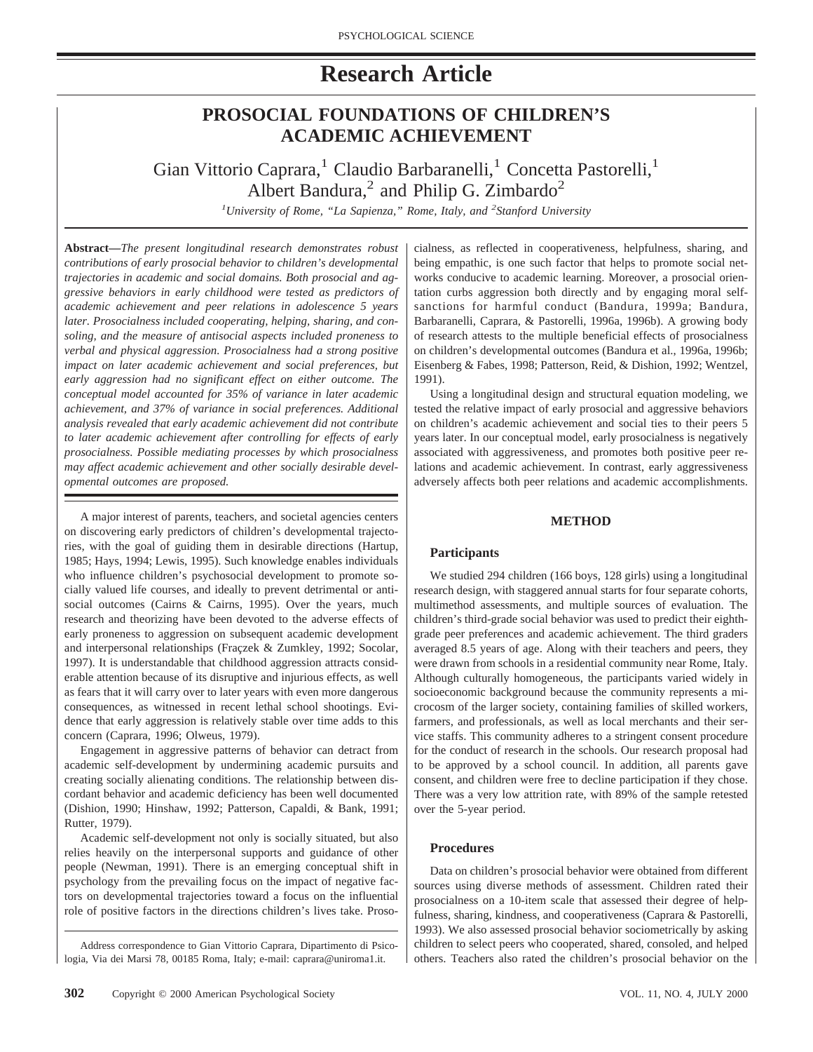# **Research Article**

# **PROSOCIAL FOUNDATIONS OF CHILDREN'S ACADEMIC ACHIEVEMENT**

Gian Vittorio Caprara,<sup>1</sup> Claudio Barbaranelli,<sup>1</sup> Concetta Pastorelli,<sup>1</sup> Albert Bandura, $^2$  and Philip G. Zimbardo<sup>2</sup>

*1 University of Rome, "La Sapienza," Rome, Italy, and <sup>2</sup> Stanford University*

**Abstract—***The present longitudinal research demonstrates robust contributions of early prosocial behavior to children's developmental trajectories in academic and social domains. Both prosocial and aggressive behaviors in early childhood were tested as predictors of academic achievement and peer relations in adolescence 5 years later. Prosocialness included cooperating, helping, sharing, and consoling, and the measure of antisocial aspects included proneness to verbal and physical aggression. Prosocialness had a strong positive impact on later academic achievement and social preferences, but early aggression had no significant effect on either outcome. The conceptual model accounted for 35% of variance in later academic achievement, and 37% of variance in social preferences. Additional analysis revealed that early academic achievement did not contribute to later academic achievement after controlling for effects of early prosocialness. Possible mediating processes by which prosocialness may affect academic achievement and other socially desirable developmental outcomes are proposed.*

A major interest of parents, teachers, and societal agencies centers on discovering early predictors of children's developmental trajectories, with the goal of guiding them in desirable directions (Hartup, 1985; Hays, 1994; Lewis, 1995). Such knowledge enables individuals who influence children's psychosocial development to promote socially valued life courses, and ideally to prevent detrimental or antisocial outcomes (Cairns & Cairns, 1995). Over the years, much research and theorizing have been devoted to the adverse effects of early proneness to aggression on subsequent academic development and interpersonal relationships (Fraçzek & Zumkley, 1992; Socolar, 1997). It is understandable that childhood aggression attracts considerable attention because of its disruptive and injurious effects, as well as fears that it will carry over to later years with even more dangerous consequences, as witnessed in recent lethal school shootings. Evidence that early aggression is relatively stable over time adds to this concern (Caprara, 1996; Olweus, 1979).

Engagement in aggressive patterns of behavior can detract from academic self-development by undermining academic pursuits and creating socially alienating conditions. The relationship between discordant behavior and academic deficiency has been well documented (Dishion, 1990; Hinshaw, 1992; Patterson, Capaldi, & Bank, 1991; Rutter, 1979).

Academic self-development not only is socially situated, but also relies heavily on the interpersonal supports and guidance of other people (Newman, 1991). There is an emerging conceptual shift in psychology from the prevailing focus on the impact of negative factors on developmental trajectories toward a focus on the influential role of positive factors in the directions children's lives take. Proso-

Address correspondence to Gian Vittorio Caprara, Dipartimento di Psicologia, Via dei Marsi 78, 00185 Roma, Italy; e-mail: caprara@uniroma1.it.

cialness, as reflected in cooperativeness, helpfulness, sharing, and being empathic, is one such factor that helps to promote social networks conducive to academic learning. Moreover, a prosocial orientation curbs aggression both directly and by engaging moral selfsanctions for harmful conduct (Bandura, 1999a; Bandura, Barbaranelli, Caprara, & Pastorelli, 1996a, 1996b). A growing body of research attests to the multiple beneficial effects of prosocialness on children's developmental outcomes (Bandura et al., 1996a, 1996b; Eisenberg & Fabes, 1998; Patterson, Reid, & Dishion, 1992; Wentzel, 1991).

Using a longitudinal design and structural equation modeling, we tested the relative impact of early prosocial and aggressive behaviors on children's academic achievement and social ties to their peers 5 years later. In our conceptual model, early prosocialness is negatively associated with aggressiveness, and promotes both positive peer relations and academic achievement. In contrast, early aggressiveness adversely affects both peer relations and academic accomplishments.

#### **METHOD**

## **Participants**

We studied 294 children (166 boys, 128 girls) using a longitudinal research design, with staggered annual starts for four separate cohorts, multimethod assessments, and multiple sources of evaluation. The children's third-grade social behavior was used to predict their eighthgrade peer preferences and academic achievement. The third graders averaged 8.5 years of age. Along with their teachers and peers, they were drawn from schools in a residential community near Rome, Italy. Although culturally homogeneous, the participants varied widely in socioeconomic background because the community represents a microcosm of the larger society, containing families of skilled workers, farmers, and professionals, as well as local merchants and their service staffs. This community adheres to a stringent consent procedure for the conduct of research in the schools. Our research proposal had to be approved by a school council. In addition, all parents gave consent, and children were free to decline participation if they chose. There was a very low attrition rate, with 89% of the sample retested over the 5-year period.

## **Procedures**

Data on children's prosocial behavior were obtained from different sources using diverse methods of assessment. Children rated their prosocialness on a 10-item scale that assessed their degree of helpfulness, sharing, kindness, and cooperativeness (Caprara & Pastorelli, 1993). We also assessed prosocial behavior sociometrically by asking children to select peers who cooperated, shared, consoled, and helped others. Teachers also rated the children's prosocial behavior on the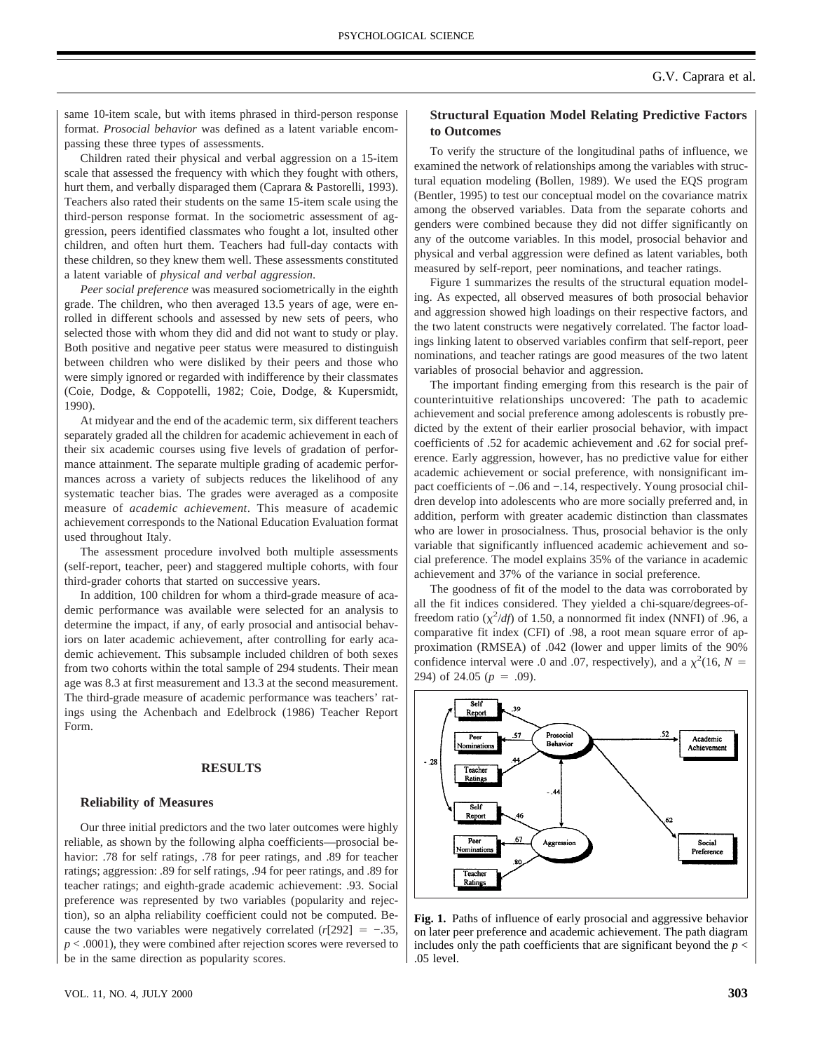same 10-item scale, but with items phrased in third-person response format. *Prosocial behavior* was defined as a latent variable encompassing these three types of assessments.

Children rated their physical and verbal aggression on a 15-item scale that assessed the frequency with which they fought with others, hurt them, and verbally disparaged them (Caprara & Pastorelli, 1993). Teachers also rated their students on the same 15-item scale using the third-person response format. In the sociometric assessment of aggression, peers identified classmates who fought a lot, insulted other children, and often hurt them. Teachers had full-day contacts with these children, so they knew them well. These assessments constituted a latent variable of *physical and verbal aggression*.

*Peer social preference* was measured sociometrically in the eighth grade. The children, who then averaged 13.5 years of age, were enrolled in different schools and assessed by new sets of peers, who selected those with whom they did and did not want to study or play. Both positive and negative peer status were measured to distinguish between children who were disliked by their peers and those who were simply ignored or regarded with indifference by their classmates (Coie, Dodge, & Coppotelli, 1982; Coie, Dodge, & Kupersmidt, 1990).

At midyear and the end of the academic term, six different teachers separately graded all the children for academic achievement in each of their six academic courses using five levels of gradation of performance attainment. The separate multiple grading of academic performances across a variety of subjects reduces the likelihood of any systematic teacher bias. The grades were averaged as a composite measure of *academic achievement*. This measure of academic achievement corresponds to the National Education Evaluation format used throughout Italy.

The assessment procedure involved both multiple assessments (self-report, teacher, peer) and staggered multiple cohorts, with four third-grader cohorts that started on successive years.

In addition, 100 children for whom a third-grade measure of academic performance was available were selected for an analysis to determine the impact, if any, of early prosocial and antisocial behaviors on later academic achievement, after controlling for early academic achievement. This subsample included children of both sexes from two cohorts within the total sample of 294 students. Their mean age was 8.3 at first measurement and 13.3 at the second measurement. The third-grade measure of academic performance was teachers' ratings using the Achenbach and Edelbrock (1986) Teacher Report Form.

# **RESULTS**

## **Reliability of Measures**

Our three initial predictors and the two later outcomes were highly reliable, as shown by the following alpha coefficients—prosocial behavior: .78 for self ratings, .78 for peer ratings, and .89 for teacher ratings; aggression: .89 for self ratings, .94 for peer ratings, and .89 for teacher ratings; and eighth-grade academic achievement: .93. Social preference was represented by two variables (popularity and rejection), so an alpha reliability coefficient could not be computed. Because the two variables were negatively correlated  $(r[292] = -.35,$ *p* < .0001), they were combined after rejection scores were reversed to be in the same direction as popularity scores.

# **Structural Equation Model Relating Predictive Factors to Outcomes**

To verify the structure of the longitudinal paths of influence, we examined the network of relationships among the variables with structural equation modeling (Bollen, 1989). We used the EQS program (Bentler, 1995) to test our conceptual model on the covariance matrix among the observed variables. Data from the separate cohorts and genders were combined because they did not differ significantly on any of the outcome variables. In this model, prosocial behavior and physical and verbal aggression were defined as latent variables, both measured by self-report, peer nominations, and teacher ratings.

Figure 1 summarizes the results of the structural equation modeling. As expected, all observed measures of both prosocial behavior and aggression showed high loadings on their respective factors, and the two latent constructs were negatively correlated. The factor loadings linking latent to observed variables confirm that self-report, peer nominations, and teacher ratings are good measures of the two latent variables of prosocial behavior and aggression.

The important finding emerging from this research is the pair of counterintuitive relationships uncovered: The path to academic achievement and social preference among adolescents is robustly predicted by the extent of their earlier prosocial behavior, with impact coefficients of .52 for academic achievement and .62 for social preference. Early aggression, however, has no predictive value for either academic achievement or social preference, with nonsignificant impact coefficients of −.06 and −.14, respectively. Young prosocial children develop into adolescents who are more socially preferred and, in addition, perform with greater academic distinction than classmates who are lower in prosocialness. Thus, prosocial behavior is the only variable that significantly influenced academic achievement and social preference. The model explains 35% of the variance in academic achievement and 37% of the variance in social preference.

The goodness of fit of the model to the data was corroborated by all the fit indices considered. They yielded a chi-square/degrees-offreedom ratio  $(\chi^2/df)$  of 1.50, a nonnormed fit index (NNFI) of .96, a comparative fit index (CFI) of .98, a root mean square error of approximation (RMSEA) of .042 (lower and upper limits of the 90% confidence interval were .0 and .07, respectively), and a  $\chi^2$ (16, *N* = 294) of 24.05  $(p = .09)$ .



**Fig. 1.** Paths of influence of early prosocial and aggressive behavior on later peer preference and academic achievement. The path diagram includes only the path coefficients that are significant beyond the  $p <$ .05 level.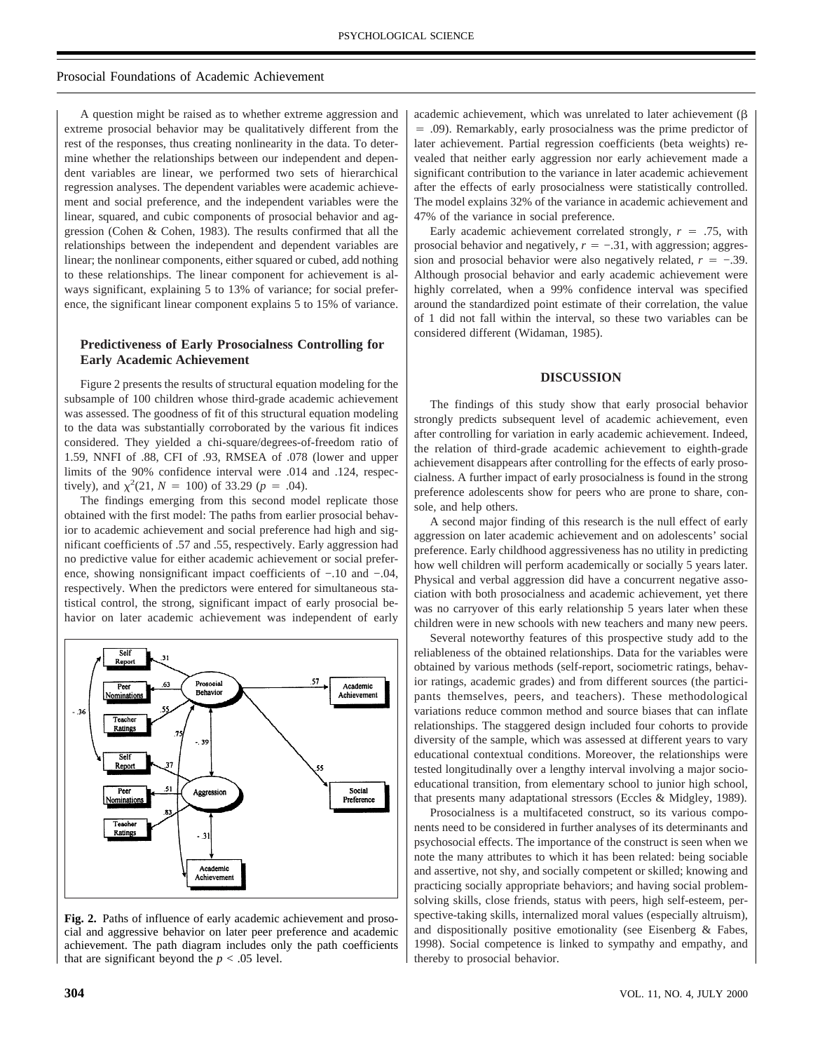# Prosocial Foundations of Academic Achievement

A question might be raised as to whether extreme aggression and extreme prosocial behavior may be qualitatively different from the rest of the responses, thus creating nonlinearity in the data. To determine whether the relationships between our independent and dependent variables are linear, we performed two sets of hierarchical regression analyses. The dependent variables were academic achievement and social preference, and the independent variables were the linear, squared, and cubic components of prosocial behavior and aggression (Cohen & Cohen, 1983). The results confirmed that all the relationships between the independent and dependent variables are linear; the nonlinear components, either squared or cubed, add nothing to these relationships. The linear component for achievement is always significant, explaining 5 to 13% of variance; for social preference, the significant linear component explains 5 to 15% of variance.

# **Predictiveness of Early Prosocialness Controlling for Early Academic Achievement**

Figure 2 presents the results of structural equation modeling for the subsample of 100 children whose third-grade academic achievement was assessed. The goodness of fit of this structural equation modeling to the data was substantially corroborated by the various fit indices considered. They yielded a chi-square/degrees-of-freedom ratio of 1.59, NNFI of .88, CFI of .93, RMSEA of .078 (lower and upper limits of the 90% confidence interval were .014 and .124, respectively), and  $\chi^2(21, N = 100)$  of 33.29 ( $p = .04$ ).

The findings emerging from this second model replicate those obtained with the first model: The paths from earlier prosocial behavior to academic achievement and social preference had high and significant coefficients of .57 and .55, respectively. Early aggression had no predictive value for either academic achievement or social preference, showing nonsignificant impact coefficients of −.10 and −.04, respectively. When the predictors were entered for simultaneous statistical control, the strong, significant impact of early prosocial behavior on later academic achievement was independent of early



**Fig. 2.** Paths of influence of early academic achievement and prosocial and aggressive behavior on later peer preference and academic achievement. The path diagram includes only the path coefficients that are significant beyond the  $p < .05$  level.

academic achievement, which was unrelated to later achievement  $(\beta)$  $=$  .09). Remarkably, early prosocialness was the prime predictor of later achievement. Partial regression coefficients (beta weights) revealed that neither early aggression nor early achievement made a significant contribution to the variance in later academic achievement after the effects of early prosocialness were statistically controlled. The model explains 32% of the variance in academic achievement and 47% of the variance in social preference.

Early academic achievement correlated strongly,  $r = .75$ , with prosocial behavior and negatively,  $r = -.31$ , with aggression; aggression and prosocial behavior were also negatively related,  $r = -.39$ . Although prosocial behavior and early academic achievement were highly correlated, when a 99% confidence interval was specified around the standardized point estimate of their correlation, the value of 1 did not fall within the interval, so these two variables can be considered different (Widaman, 1985).

# **DISCUSSION**

The findings of this study show that early prosocial behavior strongly predicts subsequent level of academic achievement, even after controlling for variation in early academic achievement. Indeed, the relation of third-grade academic achievement to eighth-grade achievement disappears after controlling for the effects of early prosocialness. A further impact of early prosocialness is found in the strong preference adolescents show for peers who are prone to share, console, and help others.

A second major finding of this research is the null effect of early aggression on later academic achievement and on adolescents' social preference. Early childhood aggressiveness has no utility in predicting how well children will perform academically or socially 5 years later. Physical and verbal aggression did have a concurrent negative association with both prosocialness and academic achievement, yet there was no carryover of this early relationship 5 years later when these children were in new schools with new teachers and many new peers.

Several noteworthy features of this prospective study add to the reliableness of the obtained relationships. Data for the variables were obtained by various methods (self-report, sociometric ratings, behavior ratings, academic grades) and from different sources (the participants themselves, peers, and teachers). These methodological variations reduce common method and source biases that can inflate relationships. The staggered design included four cohorts to provide diversity of the sample, which was assessed at different years to vary educational contextual conditions. Moreover, the relationships were tested longitudinally over a lengthy interval involving a major socioeducational transition, from elementary school to junior high school, that presents many adaptational stressors (Eccles & Midgley, 1989).

Prosocialness is a multifaceted construct, so its various components need to be considered in further analyses of its determinants and psychosocial effects. The importance of the construct is seen when we note the many attributes to which it has been related: being sociable and assertive, not shy, and socially competent or skilled; knowing and practicing socially appropriate behaviors; and having social problemsolving skills, close friends, status with peers, high self-esteem, perspective-taking skills, internalized moral values (especially altruism), and dispositionally positive emotionality (see Eisenberg & Fabes, 1998). Social competence is linked to sympathy and empathy, and thereby to prosocial behavior.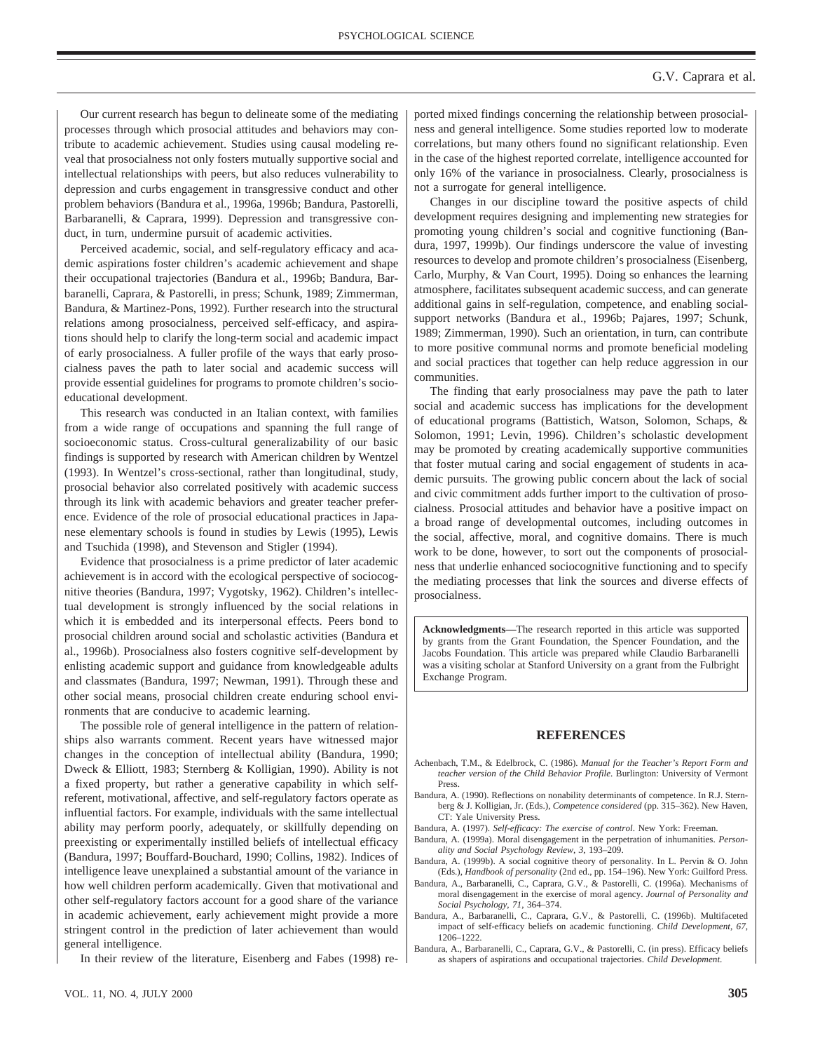#### PSYCHOLOGICAL SCIENCE

Our current research has begun to delineate some of the mediating processes through which prosocial attitudes and behaviors may contribute to academic achievement. Studies using causal modeling reveal that prosocialness not only fosters mutually supportive social and intellectual relationships with peers, but also reduces vulnerability to depression and curbs engagement in transgressive conduct and other problem behaviors (Bandura et al., 1996a, 1996b; Bandura, Pastorelli, Barbaranelli, & Caprara, 1999). Depression and transgressive conduct, in turn, undermine pursuit of academic activities.

Perceived academic, social, and self-regulatory efficacy and academic aspirations foster children's academic achievement and shape their occupational trajectories (Bandura et al., 1996b; Bandura, Barbaranelli, Caprara, & Pastorelli, in press; Schunk, 1989; Zimmerman, Bandura, & Martinez-Pons, 1992). Further research into the structural relations among prosocialness, perceived self-efficacy, and aspirations should help to clarify the long-term social and academic impact of early prosocialness. A fuller profile of the ways that early prosocialness paves the path to later social and academic success will provide essential guidelines for programs to promote children's socioeducational development.

This research was conducted in an Italian context, with families from a wide range of occupations and spanning the full range of socioeconomic status. Cross-cultural generalizability of our basic findings is supported by research with American children by Wentzel (1993). In Wentzel's cross-sectional, rather than longitudinal, study, prosocial behavior also correlated positively with academic success through its link with academic behaviors and greater teacher preference. Evidence of the role of prosocial educational practices in Japanese elementary schools is found in studies by Lewis (1995), Lewis and Tsuchida (1998), and Stevenson and Stigler (1994).

Evidence that prosocialness is a prime predictor of later academic achievement is in accord with the ecological perspective of sociocognitive theories (Bandura, 1997; Vygotsky, 1962). Children's intellectual development is strongly influenced by the social relations in which it is embedded and its interpersonal effects. Peers bond to prosocial children around social and scholastic activities (Bandura et al., 1996b). Prosocialness also fosters cognitive self-development by enlisting academic support and guidance from knowledgeable adults and classmates (Bandura, 1997; Newman, 1991). Through these and other social means, prosocial children create enduring school environments that are conducive to academic learning.

The possible role of general intelligence in the pattern of relationships also warrants comment. Recent years have witnessed major changes in the conception of intellectual ability (Bandura, 1990; Dweck & Elliott, 1983; Sternberg & Kolligian, 1990). Ability is not a fixed property, but rather a generative capability in which selfreferent, motivational, affective, and self-regulatory factors operate as influential factors. For example, individuals with the same intellectual ability may perform poorly, adequately, or skillfully depending on preexisting or experimentally instilled beliefs of intellectual efficacy (Bandura, 1997; Bouffard-Bouchard, 1990; Collins, 1982). Indices of intelligence leave unexplained a substantial amount of the variance in how well children perform academically. Given that motivational and other self-regulatory factors account for a good share of the variance in academic achievement, early achievement might provide a more stringent control in the prediction of later achievement than would general intelligence.

In their review of the literature, Eisenberg and Fabes (1998) re-

ported mixed findings concerning the relationship between prosocialness and general intelligence. Some studies reported low to moderate correlations, but many others found no significant relationship. Even in the case of the highest reported correlate, intelligence accounted for only 16% of the variance in prosocialness. Clearly, prosocialness is not a surrogate for general intelligence.

Changes in our discipline toward the positive aspects of child development requires designing and implementing new strategies for promoting young children's social and cognitive functioning (Bandura, 1997, 1999b). Our findings underscore the value of investing resources to develop and promote children's prosocialness (Eisenberg, Carlo, Murphy, & Van Court, 1995). Doing so enhances the learning atmosphere, facilitates subsequent academic success, and can generate additional gains in self-regulation, competence, and enabling socialsupport networks (Bandura et al., 1996b; Pajares, 1997; Schunk, 1989; Zimmerman, 1990). Such an orientation, in turn, can contribute to more positive communal norms and promote beneficial modeling and social practices that together can help reduce aggression in our communities.

The finding that early prosocialness may pave the path to later social and academic success has implications for the development of educational programs (Battistich, Watson, Solomon, Schaps, & Solomon, 1991; Levin, 1996). Children's scholastic development may be promoted by creating academically supportive communities that foster mutual caring and social engagement of students in academic pursuits. The growing public concern about the lack of social and civic commitment adds further import to the cultivation of prosocialness. Prosocial attitudes and behavior have a positive impact on a broad range of developmental outcomes, including outcomes in the social, affective, moral, and cognitive domains. There is much work to be done, however, to sort out the components of prosocialness that underlie enhanced sociocognitive functioning and to specify the mediating processes that link the sources and diverse effects of prosocialness.

**Acknowledgments—**The research reported in this article was supported by grants from the Grant Foundation, the Spencer Foundation, and the Jacobs Foundation. This article was prepared while Claudio Barbaranelli was a visiting scholar at Stanford University on a grant from the Fulbright Exchange Program.

#### **REFERENCES**

- Achenbach, T.M., & Edelbrock, C. (1986). *Manual for the Teacher's Report Form and teacher version of the Child Behavior Profile*. Burlington: University of Vermont Press.
- Bandura, A. (1990). Reflections on nonability determinants of competence. In R.J. Sternberg & J. Kolligian, Jr. (Eds.), *Competence considered* (pp. 315–362). New Haven, CT: Yale University Press.
- Bandura, A. (1997). *Self-efficacy: The exercise of control*. New York: Freeman.
- Bandura, A. (1999a). Moral disengagement in the perpetration of inhumanities. *Personality and Social Psychology Review*, *3*, 193–209.
- Bandura, A. (1999b). A social cognitive theory of personality. In L. Pervin & O. John (Eds.), *Handbook of personality* (2nd ed., pp. 154–196). New York: Guilford Press.
- Bandura, A., Barbaranelli, C., Caprara, G.V., & Pastorelli, C. (1996a). Mechanisms of moral disengagement in the exercise of moral agency. *Journal of Personality and Social Psychology*, *71*, 364–374.
- Bandura, A., Barbaranelli, C., Caprara, G.V., & Pastorelli, C. (1996b). Multifaceted impact of self-efficacy beliefs on academic functioning. *Child Development*, *67*, 1206–1222.
- Bandura, A., Barbaranelli, C., Caprara, G.V., & Pastorelli, C. (in press). Efficacy beliefs as shapers of aspirations and occupational trajectories. *Child Development*.